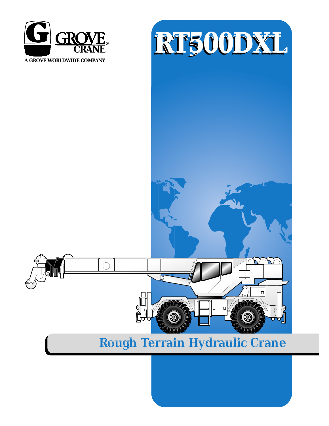





# **Rough Terrain Hydraulic Crane**

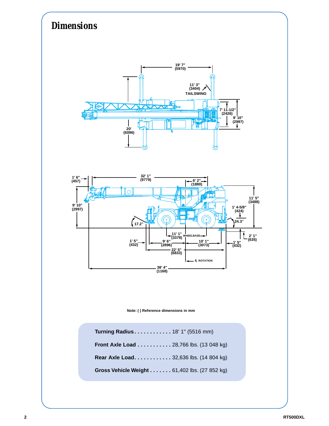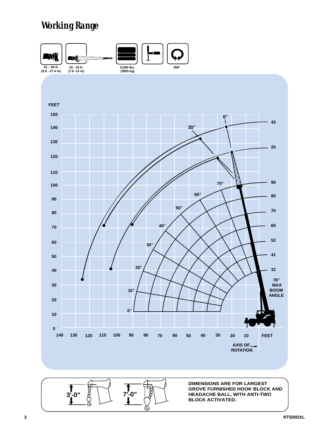# *Working Range*

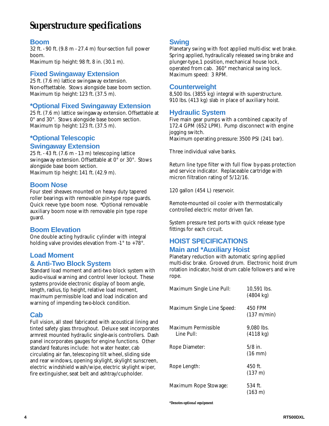# *Superstructure specifications*

### **Boom**

32 ft. - 90 ft.(9.8 m - 27.4 m) four-section full power boom.

Maximum tip height: 98 ft. 8 in. (30.1 m).

### **Fixed Swingaway Extension**

25 ft. (7.6 m) lattice swingaway extension. Non-offsettable. Stows alongside base boom section. Maximum tip height: 123 ft. (37.5 m).

## **\*Optional Fixed Swingaway Extension**

25 ft. (7.6 m) lattice swingaway extension. Offsettable at 0° and 30°. Stows alongside base boom section. Maximum tip height: 123 ft. (37.5 m).

## **\*Optional Telescopic**

#### **Swingaway Extension**

25 ft. - 43 ft.(7.6 m - 13 m) telescoping lattice swingaway extension. Offsettable at 0° or 30°. Stows alongside base boom section. Maximum tip height: 141 ft. (42.9 m).

#### **Boom Nose**

Four steel sheaves mounted on heavy duty tapered roller bearings with removable pin-type rope guards. Quick reeve type boom nose. \*Optional removable auxiliary boom nose with removable pin type rope guard.

### **Boom Elevation**

One double acting hydraulic cylinder with integral holding valve provides elevation from -1° to +78°.

## **Load Moment**

#### **& Anti-Two Block System**

Standard load moment and anti-two block system with audio-visual warning and control lever lockout. These systems provide electronic display of boom angle, length, radius, tip height, relative load moment, maximum permissible load and load indication and warning of impending two-block condition.

### **Cab**

Full vision, all steel fabricated with acoustical lining and tinted safety glass throughout. Deluxe seat incorporates armrest mounted hydraulic single-axis controllers. Dash panel incorporates gauges for engine functions. Other standard features include: hot water heater, cab circulating air fan, telescoping tilt wheel, sliding side and rear windows, opening skylight, skylight sunscreen, electric windshield wash/wipe, electric skylight wiper, fire extinguisher, seat belt and ashtray/cupholder.

### **Swing**

Planetary swing with foot applied multi-disc wet brake. Spring applied, hydraulically released swing brake and plunger-type,1 position, mechanical house lock, operated from cab. 360° mechanical swing lock. Maximum speed: 3 RPM.

#### **Counterweight**

8,500 lbs. (3855 kg) integral with superstructure. 910 lbs. (413 kg) slab in place of auxiliary hoist.

### **Hydraulic System**

Five main gear pumps with a combined capacity of 172.4 GPM (652 LPM). Pump disconnect with engine jogging switch. Maximum operating pressure: 3500 PSI (241 bar).

Three individual valve banks.

Return line type filter with full flow by-pass protection and service indicator. Replaceable cartridge with micron filtration rating of 5/12/16.

120 gallon (454 L) reservoir.

Remote-mounted oil cooler with thermostatically controlled electric motor driven fan.

System pressure test ports with quick release type fittings for each circuit.

## **HOIST SPECIFICATIONS**

#### **Main and \*Auxiliary Hoist**

Planetary reduction with automatic spring applied multi-disc brake. Grooved drum. Electronic hoist drum rotation indicator, hoist drum cable followers and wire rope.

| Maximum Single Line Pull:         | 10.591 lbs.<br>$(4804 \text{ kg})$ |
|-----------------------------------|------------------------------------|
| Maximum Single Line Speed:        | 450 FPM<br>(137 m/min)             |
| Maximum Permissible<br>Line Pull: | 9.080 lbs.<br>$(4118 \text{ kg})$  |
| Rope Diameter:                    | $5/8$ in.<br>$(16 \text{ mm})$     |
| Rope Length:                      | 450 ft.<br>$(137 \text{ m})$       |
| Maximum Rope Stowage:             | 534 ft.<br>$(163 \text{ m})$       |

*\*Denotes optional equipment*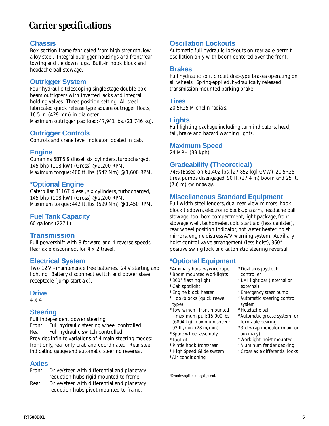## *Carrier specifications*

#### **Chassis**

Box section frame fabricated from high-strength, low alloy steel. Integral outrigger housings and front/rear towing and tie down lugs. Built-in hook block and headache ball stowage.

#### **Outrigger System**

Four hydraulic telescoping single-stage double box beam outriggers with inverted jacks and integral holding valves. Three position setting. All steel fabricated quick release type square outrigger floats, 16.5 in. (429 mm) in diameter. Maximum outrigger pad load: 47,941 lbs. (21 746 kg).

#### **Outrigger Controls**

Controls and crane level indicator located in cab.

#### **Engine**

Cummins 6BT5.9 diesel, six cylinders, turbocharged, 145 bhp (108 kW) (Gross) @ 2,200 RPM. Maximum torque: 400 ft. lbs.(542 Nm) @ 1,600 RPM.

#### **\*Optional Engine**

Caterpillar 3116T diesel, six cylinders, turbocharged, 145 bhp (108 kW) (Gross) @ 2,200 RPM. Maximum torque: 442 ft. lbs.(599 Nm) @ 1,450 RPM.

#### **Fuel Tank Capacity**

60 gallons (227 L)

#### **Transmission**

Full powershift with 8 forward and 4 reverse speeds. Rear axle disconnect for 4 x 2 travel.

#### **Electrical System**

Two 12 V - maintenance free batteries. 24 V starting and lighting. Battery disconnect switch and power slave receptacle (jump start aid).

#### **Drive**

4 x 4

#### **Steering**

Full independent power steering. Front: Full hydraulic steering wheel controlled. Rear: Full hydraulic switch controlled. Provides infinite variations of 4 main steering modes: front only, rear only, crab and coordinated. Rear steer indicating gauge and automatic steering reversal.

#### **Axles**

- Front: Drive/steer with differential and planetary reduction hubs rigid mounted to frame.
- Rear: Drive/steer with differential and planetary reduction hubs pivot mounted to frame.

### **Oscillation Lockouts**

Automatic full hydraulic lockouts on rear axle permit oscillation only with boom centered over the front.

#### **Brakes**

Full hydraulic split circuit disc-type brakes operating on all wheels. Spring-applied, hydraulically released transmission-mounted parking brake.

#### **Tires**

20.5R25 Michelin radials.

#### **Lights**

Full lighting package including turn indicators, head, tail, brake and hazard warning lights.

#### **Maximum Speed**

24 MPH (39 kph)

### **Gradeability (Theoretical)**

74% (Based on 61,402 lbs.[27 852 kg] GVW), 20.5R25 tires, pumps disengaged, 90 ft. (27.4 m) boom and 25 ft. (7.6 m) swingaway.

#### **Miscellaneous Standard Equipment**

Full width steel fenders, dual rear view mirrors, hookblock tiedown, electronic back-up alarm, headache ball stowage, tool box compartment, light package, front stowage well, tachometer, cold start aid (less canister), rear wheel position indicator, hot water heater, hoist mirrors, engine distress A/V warning system. Auxiliary hoist control valve arrangement (less hoist), 360° positive swing lock and automatic steering reversal.

## **\*Optional Equipment**

- \* Auxiliary hoist w/wire rope
- \* Boom mounted worklights
- \* 360° flashing light
- \* Cab spotlight
- \* Engine block heater
- \* Hookblocks (quick reeve type)
- \* Tow winch front mounted -- maximum pull: 15,000 lbs. (6804 kg); maximum speed: 92 ft./min. (28 m/min)
- \* Spare wheel assembly
- \* Tool kit
- \* Pintle hook front/rear
- \* High Speed Glide system
- \* Air conditioning

*\*Denotes optional equipment*

controller \* LMI light bar (internal or external)

\* Dual axis joystock

- \* Emergency steer pump
- \* Automatic steering control system
- \* Headache ball
- \* Automatic grease system for turntable bearing
- \* 3rd wrap indicator (main or auxiliary)
- \* Worklight, hoist mounted
- \* Aluminum fender decking
- \* Cross axle differential locks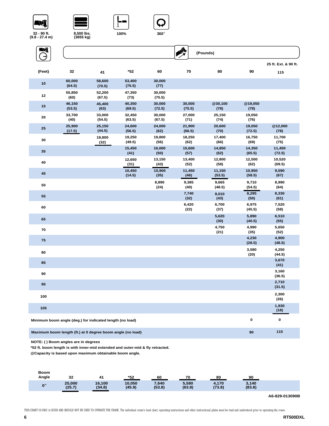







**100% 360**°





| WÎ<br>→ |                  |                  |                  |                  | A<br>(Pounds)    |                 |                |  |
|---------|------------------|------------------|------------------|------------------|------------------|-----------------|----------------|--|
| (Feet)  | 32               | 41               | $*52$            | 60               | 70               | 80              | 90             |  |
| 10      | 60,000<br>(64.5) | 58,600<br>(70.5) | 53,400<br>(75.5) | 30,000<br>(77)   |                  |                 |                |  |
| 12      | 55,850<br>(60)   | 52,200<br>(67.5) | 47,350<br>(73)   | 30,000<br>(75.5) |                  |                 |                |  |
| 15      | 46,150<br>(53.5) | 45,400<br>(63)   | 40,350<br>(69.5) | 30,000<br>(72.5) | 30,000<br>(75.5) | @30,100<br>(78) | @19,<br>(78)   |  |
| 20      | 33,700<br>(40)   | 33,000<br>(54.5) | 32,450<br>(63.5) | 30,000<br>(67.5) | 27,000<br>(71)   | 25,150<br>(74)  | 19,0<br>(76)   |  |
| 25      | 25,900<br>(17.5) | 25,150<br>(44.5) | 24,600<br>(56.5) | 24,000<br>(62)   | 21,900<br>(66.5) | 20,600<br>(70)  | 19,0<br>(72.5) |  |
|         |                  | 10.800           | 19 250           | 19.800           | 18 250           | 17 400          | 167            |  |

| 30  | 19,800<br>(32) | 19,250<br>(49.5) | 19,800<br>(56) | 18,250<br>(62) | 17,400<br>(66)   | 16,750<br>(69)   | 11,700<br>(75)   |
|-----|----------------|------------------|----------------|----------------|------------------|------------------|------------------|
| 35  |                | 15,450<br>(41)   | 16,000<br>(50) | 15,600<br>(57) | 14,850<br>(62)   | 14,350<br>(65.5) | 11,450<br>(72.5) |
| 40  |                | 12,650<br>(31)   | 13,150<br>(43) | 13,400<br>(52) | 12,800<br>(58)   | 12,500<br>(62)   | 10,520<br>(69.5) |
| 45  |                | 10,450<br>(14.5) | 10,900<br>(35) | 11,450<br>(46) | 11,150<br>(53.5) | 10,950<br>(58.5) | 9,590<br>(67)    |
| 50  |                |                  | 8,890<br>(24)  | 9,385<br>(40)  | 9,665<br>(48.5)  | 9,710<br>(54.5)  | 8,990<br>(64)    |
| 55  |                |                  |                | 7,740<br>(32)  | 8,010<br>(43)    | 8,295<br>(50)    | 8,330<br>(61)    |
| 60  |                |                  |                | 6,420<br>(22)  | 6,700<br>(37)    | 6,975<br>(45.5)  | 7,520<br>(58)    |
| 65  |                |                  |                |                | 5,620<br>(30)    | 5,890<br>(40.5)  | 6,510<br>(55)    |
| 70  |                |                  |                |                | 4,750<br>(21)    | 4,990<br>(35)    | 5,650<br>(52)    |
| 75  |                |                  |                |                |                  | 4,230<br>(28.5)  | 4,900<br>(48.5)  |
| 80  |                |                  |                |                |                  | 3,580<br>(20)    | 4,250<br>(44.5)  |
| 85  |                |                  |                |                |                  |                  | 3,670<br>(41)    |
| 90  |                |                  |                |                |                  |                  | 3,160<br>(36.5)  |
| 95  |                |                  |                |                |                  |                  | 2,710<br>(31.5)  |
| 100 |                |                  |                |                |                  |                  | 2,300<br>(26)    |
| 105 |                |                  |                |                |                  |                  | 1,930<br>(18)    |

**Minimum boom angle (deg.) for indicated length (no load) 0 0**

**Maximum boom length (ft.) at 0 degree boom angle (no load) 90 115**

**NOTE: ( ) Boom angles are in degrees**

**\*52 ft. boom length is with inner-mid extended and outer-mid & fly retracted.**

**@Capacity is based upon maximum obtainable boom angle.**

| Boom<br>Angle        | 32               | -41              | *52              | 60              | 70              | 80              | 90              |  |
|----------------------|------------------|------------------|------------------|-----------------|-----------------|-----------------|-----------------|--|
| $\mathbf{0}^{\circ}$ | 25,000<br>(25.7) | 16,100<br>(34.8) | 10,050<br>(45.9) | 7,640<br>(53.8) | 5,580<br>(63.8) | 4,170<br>(73.8) | 3,140<br>(83.8) |  |

**A6-829-013090B**

**@19,050 (78)**

**19,050 (76)**

**19,050 (72.5)**

**@12,000 (78)**

**115 25 ft. Ext. & 90 ft.**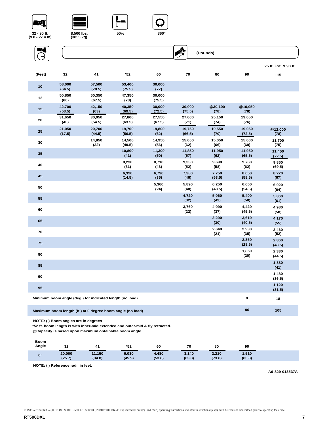# <u>-77],</u>











|        |                                                                         |                                                          |                  |                  |                  |                 |                  | 25 ft. Ext. & 90 ft. |  |
|--------|-------------------------------------------------------------------------|----------------------------------------------------------|------------------|------------------|------------------|-----------------|------------------|----------------------|--|
| (Feet) | 32                                                                      | 41                                                       | *52              | 60               | 70               | 80              | 90               | 115                  |  |
| 10     | 58,000<br>(64.5)                                                        | 57,500<br>(70.5)                                         | 53,400<br>(75.5) | 30,000<br>(77)   |                  |                 |                  |                      |  |
| 12     | 50,850<br>(60)                                                          | 50,350<br>(67.5)                                         | 47,350<br>(73)   | 30,000<br>(75.5) |                  |                 |                  |                      |  |
| 15     | 42,700<br>(53.5)                                                        | 42,150<br>(63)                                           | 40,350<br>(69.5) | 30,000<br>(72.5) | 30,000<br>(75.5) | @30,100<br>(78) | @19,050<br>(78)  |                      |  |
| 20     | 31,650<br>(40)                                                          | 30,050<br>(54.5)                                         | 27,800<br>(63.5) | 27,550<br>(67.5) | 27,000<br>(71)   | 25,150<br>(74)  | 19,050<br>(76)   |                      |  |
| 25     | 21,050<br>(17.5)                                                        | 20,700<br>(44.5)                                         | 19,700<br>(56.5) | 19,800<br>(62)   | 19,750<br>(66.5) | 19,550<br>(70)  | 19,050<br>(72.5) | @12,000<br>(78)      |  |
| 30     |                                                                         | 14,850<br>(32)                                           | 14,500<br>(49.5) | 14,950<br>(56)   | 15,050<br>(62)   | 15,050<br>(66)  | 15,000<br>(69)   | 11,700<br>(75)       |  |
| 35     |                                                                         |                                                          | 10,800<br>(41)   | 11,300<br>(50)   | 11,850<br>(57)   | 11,950<br>(62)  | 11,950<br>(65.5) | 11,450<br>(72.5)     |  |
| 40     |                                                                         |                                                          | 8,230<br>(31)    | 8,710<br>(43)    | 9,330<br>(52)    | 9,690<br>(58)   | 9,760<br>(62)    | 9,850<br>(69.5)      |  |
| 45     |                                                                         |                                                          | 6,320<br>(14.5)  | 6,790<br>(35)    | 7,380<br>(46)    | 7,750<br>(53.5) | 8,050<br>(58.5)  | 8,220<br>(67)        |  |
| 50     |                                                                         |                                                          |                  | 5,360<br>(24)    | 5,890<br>(40)    | 6,250<br>(48.5) | 6,600<br>(54.5)  | 6,920<br>(64)        |  |
| 55     |                                                                         |                                                          |                  |                  | 4,720<br>(32)    | 5,060<br>(43)   | 5,400<br>(50)    | 5,860<br>(61)        |  |
| 60     |                                                                         |                                                          |                  |                  | 3,760<br>(22)    | 4,090<br>(37)   | 4,420<br>(45.5)  | 4,980<br>(58)        |  |
| 65     |                                                                         |                                                          |                  |                  |                  | 3,290<br>(30)   | 3,610<br>(40.5)  | 4,170<br>(55)        |  |
| 70     |                                                                         |                                                          |                  |                  |                  | 2,640<br>(21)   | 2,930<br>(35)    | 3,460<br>(52)        |  |
| 75     |                                                                         |                                                          |                  |                  |                  |                 | 2,350<br>(28.5)  | 2,860<br>(48.5)      |  |
| 80     |                                                                         |                                                          |                  |                  |                  |                 | 1,850<br>(20)    | 2,330<br>(44.5)      |  |
| 85     |                                                                         |                                                          |                  |                  |                  |                 |                  | 1,880<br>(41)        |  |
| 90     |                                                                         |                                                          |                  |                  |                  |                 |                  | 1,480<br>(36.5)      |  |
| 95     |                                                                         |                                                          |                  |                  |                  |                 |                  | 1,120<br>(31.5)      |  |
|        |                                                                         | Minimum boom angle (deg.) for indicated length (no load) |                  |                  |                  |                 | 0                | 18                   |  |
|        | 90<br>105<br>Maximum boom length (ft.) at 0 degree boom angle (no load) |                                                          |                  |                  |                  |                 |                  |                      |  |

**NOTE: ( ) Boom angles are in degrees**

**\*52 ft. boom length is with inner-mid extended and outer-mid & fly retracted.**

**@Capacity is based upon maximum obtainable boom angle.**

| <b>Boom</b><br>Angle | 32     | 41     | *52    | 60     | 70     | 80     | 90     |
|----------------------|--------|--------|--------|--------|--------|--------|--------|
| $0^\circ$            | 20,000 | 11,150 | 6,030  | 4,480  | 3,140  | 2,210  | 1,510  |
|                      | (25.7) | (34.8) | (45.9) | (53.8) | (63.8) | (73.8) | (83.8) |

**NOTE: ( ) Reference radii in feet.**

**A6-829-013537A**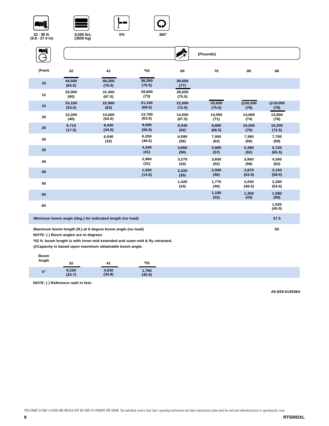# <u>"77]</u>









| WÎ<br>$\rightarrow$ |                  |                  |                  | ך                | (Pounds)         |                 |                  |
|---------------------|------------------|------------------|------------------|------------------|------------------|-----------------|------------------|
| (Feet)              | 32               | 41               | *52              | 60               | 70               | 80              | 90               |
| 10                  | 44,500<br>(64.5) | 40,250<br>(70.5) | 36,350<br>(75.5) | 30,000<br>(77)   |                  |                 |                  |
| 12                  | 33,900<br>(60)   | 31,450<br>(67.5) | 28,600<br>(73)   | 28,050<br>(75.5) |                  |                 |                  |
| 15                  | 23,150<br>(53.5) | 22,900<br>(63)   | 21,150<br>(69.5) | 21,000<br>(72.5) | 20,650<br>(75.5) | @20,200<br>(78) | @19,050<br>(78)  |
| 20                  | 14,300<br>(40)   | 14,000<br>(54.5) | 13,700<br>(63.5) | 14,050<br>(67.5) | 14,050<br>(71)   | 14,000<br>(74)  | 13,800<br>(76)   |
| 25                  | 9,710<br>(17.5)  | 9,430<br>(44.5)  | 9,090<br>(56.5)  | 9,440<br>(62)    | 9,880<br>(66.5)  | 10,200<br>(70)  | 10,200<br>(72.5) |
| 30                  |                  | 6,540<br>(32)    | 6,250<br>(49.5)  | 6,590<br>(56)    | 7,000<br>(62)    | 7,380<br>(66)   | 7,750<br>(69)    |
| 35                  |                  |                  | 4,340<br>(41)    | 4,660<br>(50)    | 5,060<br>(57)    | 5,390<br>(62)   | 5,720<br>(65.5)  |
| 40                  |                  |                  | 2,960<br>(31)    | 3,270<br>(43)    | 3,650<br>(52)    | 3,950<br>(58)   | 4,260<br>(62)    |
| 45                  |                  |                  | 1,920<br>(14.5)  | 2,220<br>(35)    | 2,590<br>(46)    | 2,870<br>(53.5) | 3,150<br>(58.5)  |
| 50                  |                  |                  |                  | 1,420<br>(24)    | 1,770<br>(40)    | 2,030<br>(48.5) | 2,290<br>(54.5)  |
| 55                  |                  |                  |                  |                  | 1,100<br>(32)    | 1,350<br>(43)   | 1,590<br>(50)    |
|                     |                  |                  |                  |                  |                  |                 |                  |

| 60                                                       | 1,020<br>(45.5) |
|----------------------------------------------------------|-----------------|
| Minimum boom angle (deg.) for indicated length (no load) | 37.5            |

**Maximum boom length (ft.) at 0 degree boom angle (no load) 60**

**NOTE: ( ) Boom angles are in degrees**

**\*52 ft. boom length is with inner-mid extended and outer-mid & fly retracted.**

**@Capacity is based upon maximum obtainable boom angle.**

#### **Boom**

| *52<br>32<br>41                                                                  |
|----------------------------------------------------------------------------------|
| 630<br>9,220<br>l,760<br>(45.9)<br>$\mathbf{0}^{\circ}$<br>24.9'<br>иэл<br>- - - |

**NOTE: ( ) Reference radii in feet.**

**A6-829-013538A**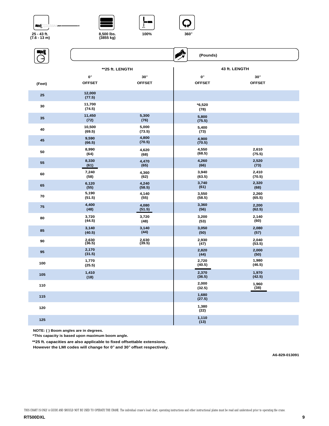







| ŊÎ     |                    |                 | ♣ | (Pounds)         |                 |
|--------|--------------------|-----------------|---|------------------|-----------------|
|        |                    | **25 ft. LENGTH |   |                  | 43 ft. LENGTH   |
|        | $\mathbf{0}^\circ$ | $30^\circ$      |   | $0^{\circ}$      | $30^\circ$      |
| (Feet) | <b>OFFSET</b>      | <b>OFFSET</b>   |   | <b>OFFSET</b>    | <b>OFFSET</b>   |
| 25     | 12,000<br>(77.5)   |                 |   |                  |                 |
| 30     | 11,700<br>(74.5)   |                 |   | $*6,520$<br>(78) |                 |
| 35     | 11,450<br>(72)     | 5,300<br>(76)   |   | 5,800<br>(75.5)  |                 |
| 40     | 10,500<br>(69.5)   | 5,000<br>(73.5) |   | 5,400<br>(73)    |                 |
| 45     | 9,590<br>(66.5)    | 4,800<br>(70.5) |   | 4,900<br>(70.5)  |                 |
| 50     | 8,990<br>(64)      | 4,620<br>(68)   |   | 4,550<br>(68.5)  | 2,610<br>(75.5) |
| 55     | 8,330<br>(61)      | 4,470<br>(65)   |   | 4,260<br>(66)    | 2,520<br>(73)   |
| 60     | 7,240<br>(58)      | 4,360<br>(62)   |   | 3,940<br>(63.5)  | 2,410<br>(70.5) |
| 65     | 6,120<br>(55)      | 4,240<br>(58.5) |   | 3,740<br>(61)    | 2,320<br>(68)   |
| 70     | 5,190<br>(51.5)    | 4,140<br>(55)   |   | 3,550<br>(58.5)  | 2,260<br>(65.5) |
| 75     | 4,400<br>(48)      | 4,080<br>(51.5) |   | 3,360<br>(56)    | 2,200<br>(62.5) |
| 80     | 3,720<br>(44.5)    | 3,720<br>(48)   |   | 3,200<br>(53)    | 2,140<br>(60)   |
| 85     | 3,140<br>(40.5)    | 3,140<br>(44)   |   | 3,050<br>(50)    | 2,080<br>(57)   |
| 90     | 2,630<br>(36.5)    | 2,630<br>(39.5) |   | 2,930<br>(47)    | 2,040<br>(53.5) |
| 95     | 2,170<br>(31.5)    |                 |   | 2,820<br>(44)    | 2,000<br>(50)   |
| 100    | 1,770<br>(25.5)    |                 |   | 2,720<br>(40.5)  | 1,980<br>(46.5) |
| 105    | 1,410<br>(18)      |                 |   | 2,370<br>(36.5)  | 1,970<br>(42.5) |
| 110    |                    |                 |   | 2,000<br>(32.5)  | 1,960<br>(38)   |
| 115    |                    |                 |   | 1,680<br>(27.5)  |                 |
| 120    |                    |                 |   | 1,380<br>(22)    |                 |
| 125    |                    |                 |   | 1,110<br>(13)    |                 |

**NOTE: ( ) Boom angles are in degrees.**

**\*This capacity is based upon maximum boom angle.**

**\*\*25 ft. capacities are also applicable to fixed offsettable extensions.**

**However the LMI codes will change for 0**° **and 30**° **offset respectively.**

**A6-829-013091**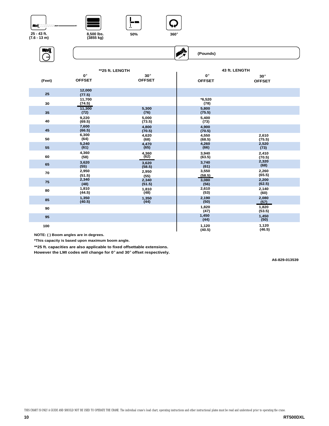







**AX** 

 **(Pounds)**

**ENT** 





|        |                  | **25 ft. LENGTH |                  | 43 ft. LENGTH   |
|--------|------------------|-----------------|------------------|-----------------|
| (Feet) | $0^{\circ}$      | $30^\circ$      | $0^{\circ}$      | $30^\circ$      |
|        | <b>OFFSET</b>    | <b>OFFSET</b>   | <b>OFFSET</b>    | <b>OFFSET</b>   |
| 25     | 12,000<br>(77.5) |                 |                  |                 |
| 30     | 11,700<br>(74.5) |                 | $*6,520$<br>(78) |                 |
| 35     | 11,300<br>(72)   | 5,300<br>(76)   | 5,800<br>(75.5)  |                 |
| 40     | 9,220<br>(69.5)  | 5,000<br>(73.5) | 5,400<br>(73)    |                 |
| 45     | 7,600<br>(66.5)  | 4,800<br>(70.5) | 4,900<br>(70.5)  |                 |
| 50     | 6,300            | 4,620           | 4,550            | 2,610           |
|        | (64)             | (68)            | (68.5)           | (75.5)          |
| 55     | 5,240            | 4,470           | 4,260            | 2,520           |
|        | (61)             | (65)            | (66)             | (73)            |
| 60     | 4,360            | 4,360           | 3,940            | 2,410           |
|        | (58)             | (62)            | (63.5)           | (70.5)          |
| 65     | 3,620            | 3,620           | 3,740            | 2,320           |
|        | (55)             | (58.5)          | (61)             | (68)            |
| 70     | 2,950            | 2,950           | 3,550            | 2,260           |
|        | (51.5)           | (55)            | (58.5)           | (65.5)          |
| 75     | 2,340            | 2,340           | 3,080            | 2,200           |
|        | (48)             | (51.5)          | (56)             | (62.5)          |
| 80     | 1,810            | 1,810           | 2,610            | 2,140           |
|        | (44.5)           | (48)            | (53)             | (60)            |
| 85     | 1,350            | 1,350           | 2,190            | 2,080           |
|        | (40.5)           | (44)            | (50)             | (57)            |
| 90     |                  |                 | 1,820<br>(47)    | 1,820<br>(53.5) |
| 95     |                  |                 | 1,450<br>(44)    | 1,450<br>(50)   |
| 100    |                  |                 | 1,120<br>(40.5)  | 1,120<br>(46.5) |

**NOTE: ( ) Boom angles are in degrees.**

**\*This capacity is based upon maximum boom angle.**

**\*\*25 ft. capacities are also applicable to fixed offsettable extensions.**

**However the LMI codes will change for 0**° **and 30**° **offset respectively.**

**A6-829-013539**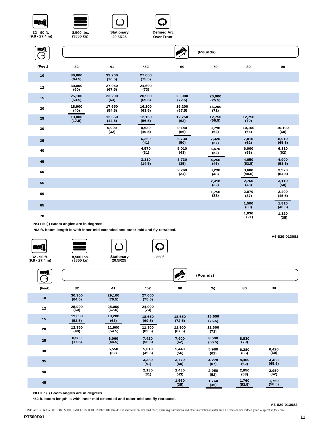

**32 - 90 ft. (9.8 - 27.4 m)**



**Stationary 20.5R25** 



**Over Front** 

| WÎ     |                  |                  |                  | AN               | (Pounds)         |                 |                 |
|--------|------------------|------------------|------------------|------------------|------------------|-----------------|-----------------|
| (Feet) | 32               | 41               | $*52$            | 60               | 70               | 80              | 90              |
| 10     | 36,000<br>(64.5) | 32,200<br>(70.5) | 27,650<br>(75.5) |                  |                  |                 |                 |
| 12     | 30,800<br>(60)   | 27,950<br>(67.5) | 24,600<br>(73)   |                  |                  |                 |                 |
| 15     | 25,100<br>(53.5) | 23,200<br>(63)   | 20,900<br>(69.5) | 20,900<br>(72.5) | 20,900<br>(75.5) |                 |                 |
| 20     | 18,900<br>(40)   | 17,650<br>(54.5) | 16,200<br>(63.5) | 16,200<br>(67.5) | 16,200<br>(71)   |                 |                 |
| 25     | 13,000<br>(17.5) | 12,650<br>(44.5) | 12,150<br>(56.5) | 12,750<br>(62)   | 12,750<br>(66.5) | 12,750<br>(70)  |                 |
| 30     |                  | 9,000<br>(32)    | 8,630<br>(49.5)  | 9,140<br>(56)    | 9,790<br>(62)    | 10,100<br>(66)  | 10,100<br>(69)  |
| 35     |                  |                  | 6,260<br>(41)    | 6,730<br>(50)    | 7,320<br>(57)    | 7,810<br>(62)   | 8,010<br>(65.5) |
| 40     |                  |                  | 4,570<br>(31)    | 5,010<br>(43)    | 5,570<br>(52)    | 6,000<br>(58)   | 6,310<br>(62)   |
| 45     |                  |                  | 3,310<br>(14.5)  | 3,730<br>(35)    | 4,250<br>(46)    | 4,650<br>(53.5) | 4,900<br>(58.5) |
| 50     |                  |                  |                  | 2,760<br>(24)    | 3,230<br>(40)    | 3,600<br>(48.5) | 3,970<br>(54.5) |
| 55     |                  |                  |                  |                  | 2,410<br>(32)    | 2,760<br>(43)   | 3,110<br>(50)   |
| 60     |                  |                  |                  |                  | 1,750<br>(22)    | 2,070<br>(37)   | 2,400<br>(45.5) |
| 65     |                  |                  |                  |                  |                  | 1,500<br>(30)   | 1,810<br>(40.5) |
| 70     |                  |                  |                  |                  |                  | 1,030<br>(21)   | 1,320<br>(35)   |

**NOTE: ( ) Boom angles are in degrees**

**\*52 ft. boom length is with inner-mid extended and outer-mid and fly retracted.**

-72J.I **32 - 90 ft. (9.8 - 27.4 m)**





Г,



سها

| N)     |                  |                  |                  | ◈                | (Pounds)         |                 |                 |  |
|--------|------------------|------------------|------------------|------------------|------------------|-----------------|-----------------|--|
| (Feet) | 32               | 41               | *52              | 60               | 70               | 80              | 90              |  |
| 10     | 30,300<br>(64.5) | 29,100<br>(70.5) | 27,650<br>(75.5) |                  |                  |                 |                 |  |
| 12     | 25,900<br>(60)   | 25,000<br>(67.5) | 24,000<br>(73)   |                  |                  |                 |                 |  |
| 15     | 19,600<br>(53.5) | 19,200<br>(63)   | 18,650<br>(69.5) | 18,650<br>(72.5) | 18,650<br>(75.5) |                 |                 |  |
| 20     | 12,350<br>(40)   | 11,900<br>(54.5) | 11,300<br>(63.5) | 11,900<br>(67.5) | 12,600<br>(71)   |                 |                 |  |
| 25     | 8,580<br>(17.5)  | 8,060<br>(44.5)  | 7,420<br>(56.5)  | 7,900<br>(62)    | 8,500<br>(66.5)  | 8,830<br>(70)   |                 |  |
| 30     |                  | 5,550<br>(32)    | 5,010<br>(49.5)  | 5,440<br>(56)    | 5,980<br>(62)    | 6,280<br>(66)   | 6,420<br>(69)   |  |
| 35     |                  |                  | 3,380<br>(41)    | 3,770<br>(50)    | 4,270<br>(57)    | 4,460<br>(62)   | 4,460<br>(65.5) |  |
| 40     |                  |                  | 2,180<br>(31)    | 2,480<br>(43)    | 2,950<br>(52)    | 2,950<br>(58)   | 2,950<br>(62)   |  |
| 45     |                  |                  |                  | 1,560<br>(35)    | 1,760<br>(46)    | 1,760<br>(53.5) | 1,760<br>(58.5) |  |

**NOTE: ( ) Boom angles are in degrees**

**\*52 ft. boom length is with inner-mid extended and outer-mid and fly retracted.**

**A6-829-013082**

**A6-829-013081**

THIS CHART IS ONLY A GUIDE AND SHOULD NOT BE USED TO OPERATE THE CRANE. The individual crane's load chart, operating instructions and other instructional plates must be read and understood prior to operating the crane.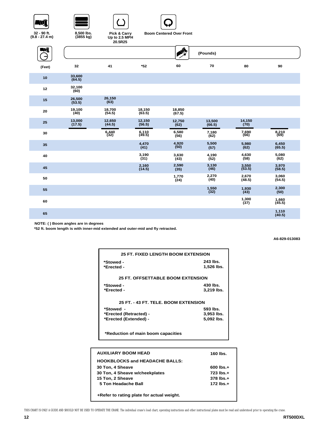

**32 - 90 ft. (9.8 - 27.4 m)**







**Boom Centered Over Front**

|        |                  | 20.5R25           |                   |                  |                  |                   |                   |
|--------|------------------|-------------------|-------------------|------------------|------------------|-------------------|-------------------|
| Ŋ      |                  |                   |                   | <b>A</b>         | (Pounds)         |                   |                   |
| (Feet) | 32               | 41                | $*52$             | 60               | 70               | 80                | 90                |
| 10     | 33,600<br>(64.5) |                   |                   |                  |                  |                   |                   |
| 12     | 32,100<br>(60)   |                   |                   |                  |                  |                   |                   |
| 15     | 26,500<br>(53.5) | 26,150<br>(63)    |                   |                  |                  |                   |                   |
| 20     | 19,100<br>(40)   | 18,700<br>(54.5)  | 18,150<br>(63.5)  | 18,850<br>(67.5) |                  |                   |                   |
| 25     | 13,000<br>(17.5) | 12,650<br>(44.5)  | 12,150<br>(56.5)  | 12,750<br>(62)   | 13,500<br>(66.5) | 14,150<br>(70)    |                   |
| 30     |                  | $6,440$<br>$(32)$ | $6,110$<br>(49.5) | 6,580<br>(56)    | 7,180<br>(62)    | 7,690<br>(66)     | 8,210<br>(69)     |
| 35     |                  |                   | 4,470<br>(41)     | 4,920<br>(50)    | 5,500<br>(57)    | 5,980<br>(62)     | 6,450<br>(65.5)   |
| 40     |                  |                   | 3,190<br>(31)     | 3,630<br>(43)    | 4,190<br>(52)    | 4,630<br>(58)     | 5,080<br>(62)     |
| 45     |                  |                   | 2,160<br>(14.5)   | 2,590<br>(35)    | 3,130<br>(46)    | $3,550$<br>(53.5) | 3,970<br>(58.5)   |
| 50     |                  |                   |                   | 1,770<br>(24)    | 2,270<br>(40)    | 2,670<br>(48.5)   | 3,060<br>(54.5)   |
| 55     |                  |                   |                   |                  | 1,550<br>(32)    | $1,930$<br>(43)   | 2,300<br>(50)     |
| 60     |                  |                   |                   |                  |                  | 1,300<br>(37)     | $1,660$<br>(45.5) |
| 65     |                  |                   |                   |                  |                  |                   | 1,110<br>(40.5)   |
|        |                  |                   |                   |                  |                  |                   |                   |

**NOTE: ( ) Boom angles are in degrees**

**\*52 ft. boom length is with inner-mid extended and outer-mid and fly retracted.**

**A6-829-013083**

| <b>25 FT. FIXED LENGTH BOOM EXTENSION</b> |                        |  |  |  |  |
|-------------------------------------------|------------------------|--|--|--|--|
| *Stowed -<br>*Erected -                   | 243 lbs.<br>1,526 lbs. |  |  |  |  |
| <b>25 FT. OFFSETTABLE BOOM EXTENSION</b>  |                        |  |  |  |  |
| *Stowed -<br>*Erected -                   | 430 lbs.<br>3,219 lbs. |  |  |  |  |
| 25 FT - 43 FT. TELE. BOOM EXTENSION       |                        |  |  |  |  |
| *Stowed -                                 | 593 lbs.               |  |  |  |  |
| *Erected (Retracted) -                    | 3,953 lbs.             |  |  |  |  |
| *Erected (Extended) -                     | 5.092 lbs.             |  |  |  |  |
| *Deduction of moto became conce           |                        |  |  |  |  |

**\*Reduction of main boom capacities**

| <b>AUXILIARY BOOM HEAD</b>                | 160 lbs.       |
|-------------------------------------------|----------------|
| <b>HOOKBLOCKS and HEADACHE BALLS:</b>     |                |
| 30 Ton, 4 Sheave                          | $600$ lbs. $+$ |
| 30 Ton, 4 Sheave w/cheekplates            | 723 lbs.+      |
| 15 Ton, 2 Sheave                          | $378$ lbs. $+$ |
| 5 Ton Headache Ball                       | $172$ lbs. $+$ |
|                                           |                |
| +Refer to rating plate for actual weight. |                |

THIS CHART IS ONLY A GUIDE AND SHOULD NOT BE USED TO OPERATE THE CRANE. The individual crane's load chart, operating instructions and other instructional plates must be read and understood prior to operating the crane.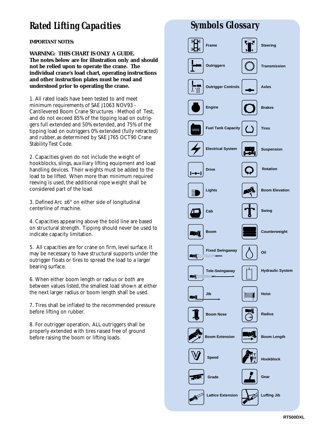## *Rated Lifting Capacities*

**IMPORTANT NOTES:**

**WARNING: THIS CHART IS ONLY A GUIDE. The notes below are for illustration only and should not be relied upon to operate the crane. The individual crane's load chart, operating instructions and other instruction plates must be read and understood prior to operating the crane.**

1. All rated loads have been tested to and meet minimum requirements of SAE J1063 NOV93 - Cantilevered Boom Crane Structures - Method of Test, and do not exceed 85% of the tipping load on outriggers full extended and 50% extended, and 75% of the tipping load on outriggers 0% extended (fully retracted) and rubber, as determined by SAE J765 OCT90 Crane Stability Test Code.

2. Capacities given do not include the weight of hookblocks, slings, auxiliary lifting equipment and load handling devices. Their weights must be added to the load to be lifted. When more than minimum required reeving is used, the additional rope weight shall be considered part of the load.

3. Defined Arc  $\pm 6^{\circ}$  on either side of longitudinal centerline of machine.

4. Capacities appearing above the bold line are based on structural strength. Tipping should never be used to indicate capacity limitation.

5. All capacities are for crane on firm, level surface. It may be necessary to have structural supports under the outrigger floats or tires to spread the load to a larger bearing surface.

6. When either boom length or radius or both are between values listed, the smallest load shown at either the next larger radius or boom length shall be used.

7. Tires shall be inflated to the recommended pressure before lifting on rubber.

8. For outrigger operation, ALL outriggers shall be properly extended with tires raised free of ground before raising the boom or lifting loads.

# *Symbols Glossary*